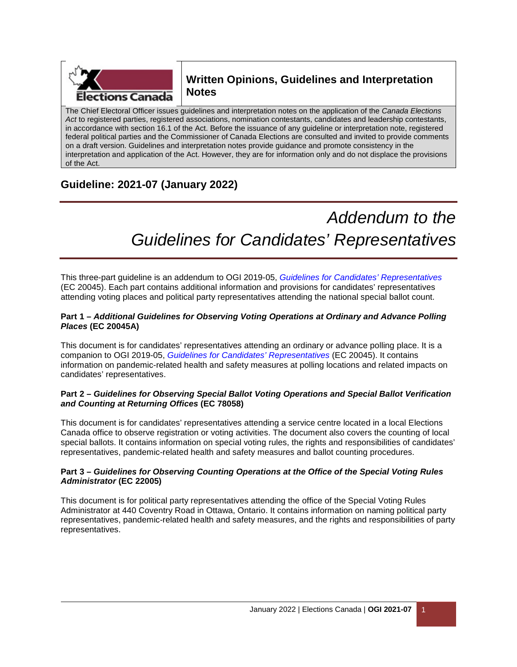

# **Written Opinions, Guidelines and Interpretation Notes**

The Chief Electoral Officer issues guidelines and interpretation notes on the application of the *Canada Elections Act* to registered parties, registered associations, nomination contestants, candidates and leadership contestants, in accordance with section 16.1 of the Act. Before the issuance of any guideline or interpretation note, registered federal political parties and the Commissioner of Canada Elections are consulted and invited to provide comments on a draft version. Guidelines and interpretation notes provide guidance and promote consistency in the interpretation and application of the Act. However, they are for information only and do not displace the provisions of the Act.

# **Guideline: 2021-07 (January 2022)**

# *Addendum to the Guidelines for Candidates' Representatives*

This three-part guideline is an addendum to OGI 2019-05, *[Guidelines for Candidates' Representatives](https://www.elections.ca/content.aspx?section=pol&document=index&dir=can/gui&lang=e)* (EC 20045). Each part contains additional information and provisions for candidates' representatives attending voting places and political party representatives attending the national special ballot count.

## **Part 1 –** *Additional Guidelines for Observing Voting Operations at Ordinary and Advance Polling Places* **(EC 20045A)**

This document is for candidates' representatives attending an ordinary or advance polling place. It is a companion to OGI 2019-05, *[Guidelines for Candidates' Representatives](https://www.elections.ca/content.aspx?section=pol&document=index&dir=can/gui&lang=e)* (EC 20045). It contains information on pandemic-related health and safety measures at polling locations and related impacts on candidates' representatives.

### **Part 2 –** *Guidelines for Observing Special Ballot Voting Operations and Special Ballot Verification and Counting at Returning Offices* **(EC 78058)**

This document is for candidates' representatives attending a service centre located in a local Elections Canada office to observe registration or voting activities. The document also covers the counting of local special ballots. It contains information on special voting rules, the rights and responsibilities of candidates' representatives, pandemic-related health and safety measures and ballot counting procedures.

### **Part 3 –** *Guidelines for Observing Counting Operations at the Office of the Special Voting Rules Administrator* **(EC 22005)**

This document is for political party representatives attending the office of the Special Voting Rules Administrator at 440 Coventry Road in Ottawa, Ontario. It contains information on naming political party representatives, pandemic-related health and safety measures, and the rights and responsibilities of party representatives.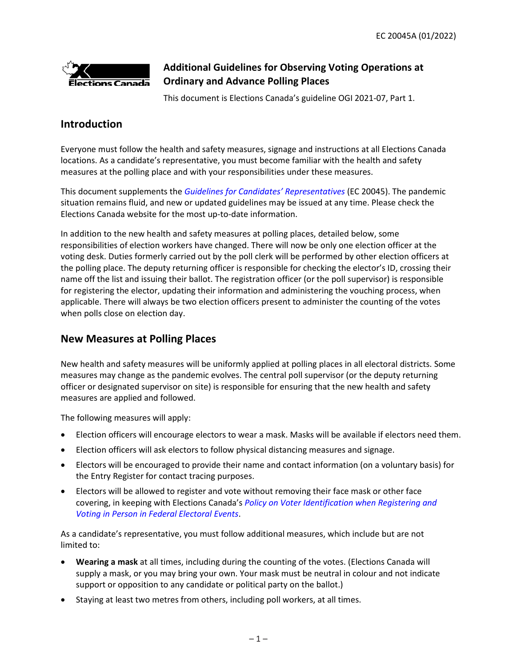

# **Additional Guidelines for Observing Voting Operations at Ordinary and Advance Polling Places**

This document is Elections Canada's guideline OGI 2021-07, Part 1.

# **Introduction**

Everyone must follow the health and safety measures, signage and instructions at all Elections Canada locations. As a candidate's representative, you must become familiar with the health and safety measures at the polling place and with your responsibilities under these measures.

This document supplements the *[Guidelines for Candidates' Representatives](https://www.elections.ca/content.aspx?section=pol&document=index&dir=can/gui&lang=e)* (EC 20045). The pandemic situation remains fluid, and new or updated guidelines may be issued at any time. Please check the Elections Canada website for the most up-to-date information.

In addition to the new health and safety measures at polling places, detailed below, some responsibilities of election workers have changed. There will now be only one election officer at the voting desk. Duties formerly carried out by the poll clerk will be performed by other election officers at the polling place. The deputy returning officer is responsible for checking the elector's ID, crossing their name off the list and issuing their ballot. The registration officer (or the poll supervisor) is responsible for registering the elector, updating their information and administering the vouching process, when applicable. There will always be two election officers present to administer the counting of the votes when polls close on election day.

# **New Measures at Polling Places**

New health and safety measures will be uniformly applied at polling places in all electoral districts. Some measures may change as the pandemic evolves. The central poll supervisor (or the deputy returning officer or designated supervisor on site) is responsible for ensuring that the new health and safety measures are applied and followed.

The following measures will apply:

- Election officers will encourage electors to wear a mask. Masks will be available if electors need them.
- Election officers will ask electors to follow physical distancing measures and signage.
- Electors will be encouraged to provide their name and contact information (on a voluntary basis) for the Entry Register for contact tracing purposes.
- Electors will be allowed to register and vote without removing their face mask or other face covering, in keeping with Elections Canada's *[Policy on Voter Identification when Registering and](https://www.elections.ca/content.aspx?section=res&dir=poli/rep1&document=index&lang=e)  [Voting in Person in Federal Electoral Events](https://www.elections.ca/content.aspx?section=res&dir=poli/rep1&document=index&lang=e)*.

As a candidate's representative, you must follow additional measures, which include but are not limited to:

- **Wearing a mask** at all times, including during the counting of the votes. (Elections Canada will supply a mask, or you may bring your own. Your mask must be neutral in colour and not indicate support or opposition to any candidate or political party on the ballot.)
- Staying at least two metres from others, including poll workers, at all times.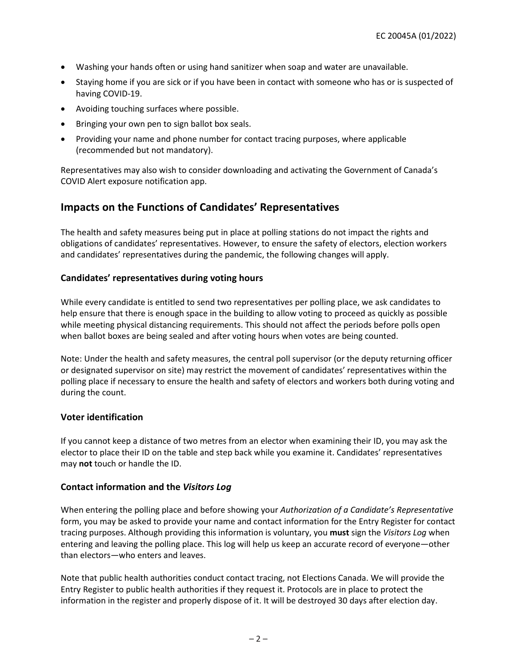- Washing your hands often or using hand sanitizer when soap and water are unavailable.
- Staying home if you are sick or if you have been in contact with someone who has or is suspected of having COVID-19.
- Avoiding touching surfaces where possible.
- Bringing your own pen to sign ballot box seals.
- Providing your name and phone number for contact tracing purposes, where applicable (recommended but not mandatory).

Representatives may also wish to consider downloading and activating the Government of Canada's COVID Alert exposure notification app.

# **Impacts on the Functions of Candidates' Representatives**

The health and safety measures being put in place at polling stations do not impact the rights and obligations of candidates' representatives. However, to ensure the safety of electors, election workers and candidates' representatives during the pandemic, the following changes will apply.

## **Candidates' representatives during voting hours**

While every candidate is entitled to send two representatives per polling place, we ask candidates to help ensure that there is enough space in the building to allow voting to proceed as quickly as possible while meeting physical distancing requirements. This should not affect the periods before polls open when ballot boxes are being sealed and after voting hours when votes are being counted.

Note: Under the health and safety measures, the central poll supervisor (or the deputy returning officer or designated supervisor on site) may restrict the movement of candidates' representatives within the polling place if necessary to ensure the health and safety of electors and workers both during voting and during the count.

## **Voter identification**

If you cannot keep a distance of two metres from an elector when examining their ID, you may ask the elector to place their ID on the table and step back while you examine it. Candidates' representatives may **not** touch or handle the ID.

### **Contact information and the** *Visitors Log*

When entering the polling place and before showing your *Authorization of a Candidate's Representative* form, you may be asked to provide your name and contact information for the Entry Register for contact tracing purposes. Although providing this information is voluntary, you **must** sign the *Visitors Log* when entering and leaving the polling place. This log will help us keep an accurate record of everyone—other than electors—who enters and leaves.

Note that public health authorities conduct contact tracing, not Elections Canada. We will provide the Entry Register to public health authorities if they request it. Protocols are in place to protect the information in the register and properly dispose of it. It will be destroyed 30 days after election day.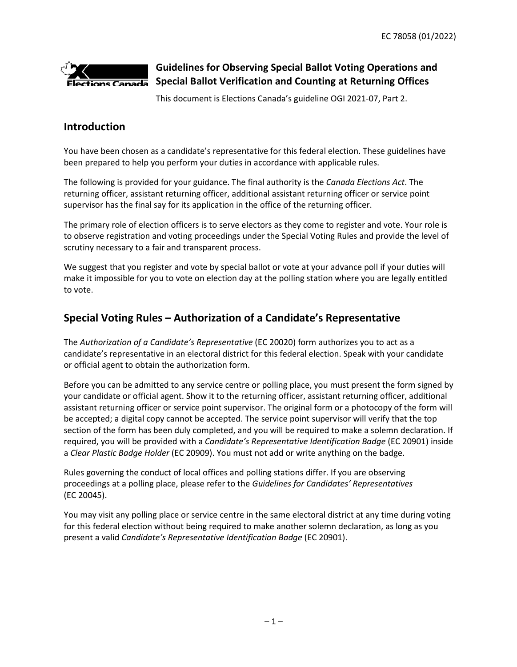

# **Guidelines for Observing Special Ballot Voting Operations and Special Ballot Verification and Counting at Returning Offices**

This document is Elections Canada's guideline OGI 2021-07, Part 2.

# **Introduction**

You have been chosen as a candidate's representative for this federal election. These guidelines have been prepared to help you perform your duties in accordance with applicable rules.

The following is provided for your guidance. The final authority is the *Canada Elections Act*. The returning officer, assistant returning officer, additional assistant returning officer or service point supervisor has the final say for its application in the office of the returning officer.

The primary role of election officers is to serve electors as they come to register and vote. Your role is to observe registration and voting proceedings under the Special Voting Rules and provide the level of scrutiny necessary to a fair and transparent process.

We suggest that you register and vote by special ballot or vote at your advance poll if your duties will make it impossible for you to vote on election day at the polling station where you are legally entitled to vote.

# **Special Voting Rules – Authorization of a Candidate's Representative**

The *Authorization of a Candidate's Representative* (EC 20020) form authorizes you to act as a candidate's representative in an electoral district for this federal election. Speak with your candidate or official agent to obtain the authorization form.

Before you can be admitted to any service centre or polling place, you must present the form signed by your candidate or official agent. Show it to the returning officer, assistant returning officer, additional assistant returning officer or service point supervisor. The original form or a photocopy of the form will be accepted; a digital copy cannot be accepted. The service point supervisor will verify that the top section of the form has been duly completed, and you will be required to make a solemn declaration. If required, you will be provided with a *Candidate's Representative Identification Badge* (EC 20901) inside a *Clear Plastic Badge Holder* (EC 20909). You must not add or write anything on the badge.

Rules governing the conduct of local offices and polling stations differ. If you are observing proceedings at a polling place, please refer to the *Guidelines for Candidates' Representatives*  (EC 20045).

You may visit any polling place or service centre in the same electoral district at any time during voting for this federal election without being required to make another solemn declaration, as long as you present a valid *Candidate's Representative Identification Badge* (EC 20901).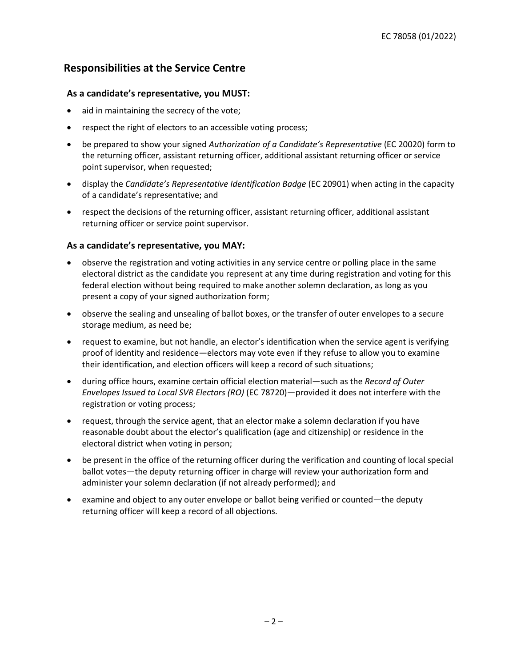# **Responsibilities at the Service Centre**

## **As a candidate's representative, you MUST:**

- aid in maintaining the secrecy of the vote;
- respect the right of electors to an accessible voting process;
- be prepared to show your signed *Authorization of a Candidate's Representative* (EC 20020) form to the returning officer, assistant returning officer, additional assistant returning officer or service point supervisor, when requested;
- display the *Candidate's Representative Identification Badge* (EC 20901) when acting in the capacity of a candidate's representative; and
- respect the decisions of the returning officer, assistant returning officer, additional assistant returning officer or service point supervisor.

## **As a candidate's representative, you MAY:**

- observe the registration and voting activities in any service centre or polling place in the same electoral district as the candidate you represent at any time during registration and voting for this federal election without being required to make another solemn declaration, as long as you present a copy of your signed authorization form;
- observe the sealing and unsealing of ballot boxes, or the transfer of outer envelopes to a secure storage medium, as need be;
- request to examine, but not handle, an elector's identification when the service agent is verifying proof of identity and residence—electors may vote even if they refuse to allow you to examine their identification, and election officers will keep a record of such situations;
- during office hours, examine certain official election material—such as the *Record of Outer Envelopes Issued to Local SVR Electors (RO)* (EC 78720)—provided it does not interfere with the registration or voting process;
- request, through the service agent, that an elector make a solemn declaration if you have reasonable doubt about the elector's qualification (age and citizenship) or residence in the electoral district when voting in person;
- be present in the office of the returning officer during the verification and counting of local special ballot votes—the deputy returning officer in charge will review your authorization form and administer your solemn declaration (if not already performed); and
- examine and object to any outer envelope or ballot being verified or counted—the deputy returning officer will keep a record of all objections.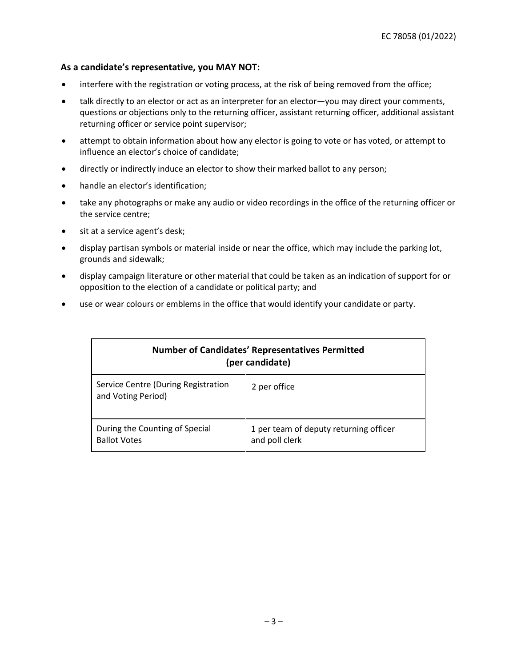## **As a candidate's representative, you MAY NOT:**

- interfere with the registration or voting process, at the risk of being removed from the office;
- talk directly to an elector or act as an interpreter for an elector—you may direct your comments, questions or objections only to the returning officer, assistant returning officer, additional assistant returning officer or service point supervisor;
- attempt to obtain information about how any elector is going to vote or has voted, or attempt to influence an elector's choice of candidate;
- directly or indirectly induce an elector to show their marked ballot to any person;
- handle an elector's identification;
- take any photographs or make any audio or video recordings in the office of the returning officer or the service centre;
- sit at a service agent's desk;
- display partisan symbols or material inside or near the office, which may include the parking lot, grounds and sidewalk;
- display campaign literature or other material that could be taken as an indication of support for or opposition to the election of a candidate or political party; and
- use or wear colours or emblems in the office that would identify your candidate or party.

|                                                           | <b>Number of Candidates' Representatives Permitted</b><br>(per candidate) |
|-----------------------------------------------------------|---------------------------------------------------------------------------|
| Service Centre (During Registration<br>and Voting Period) | 2 per office                                                              |
| During the Counting of Special<br><b>Ballot Votes</b>     | 1 per team of deputy returning officer<br>and poll clerk                  |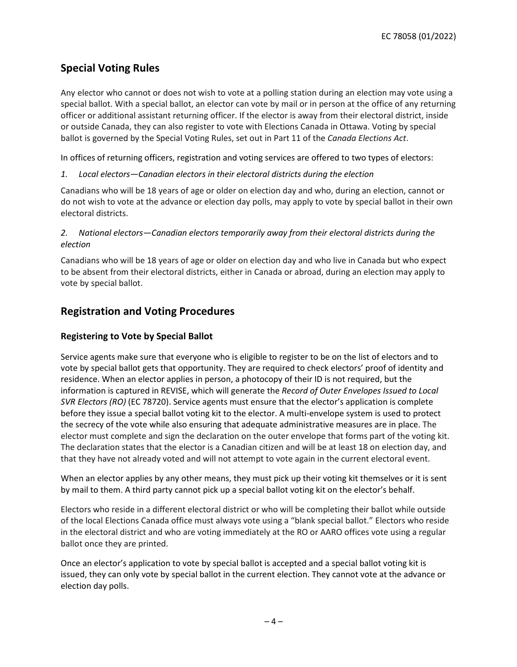# **Special Voting Rules**

Any elector who cannot or does not wish to vote at a polling station during an election may vote using a special ballot. With a special ballot, an elector can vote by mail or in person at the office of any returning officer or additional assistant returning officer. If the elector is away from their electoral district, inside or outside Canada, they can also register to vote with Elections Canada in Ottawa. Voting by special ballot is governed by the Special Voting Rules, set out in Part 11 of the *Canada Elections Act*.

In offices of returning officers, registration and voting services are offered to two types of electors:

## *1. Local electors—Canadian electors in their electoral districts during the election*

Canadians who will be 18 years of age or older on election day and who, during an election, cannot or do not wish to vote at the advance or election day polls, may apply to vote by special ballot in their own electoral districts.

## *2. National electors—Canadian electors temporarily away from their electoral districts during the election*

Canadians who will be 18 years of age or older on election day and who live in Canada but who expect to be absent from their electoral districts, either in Canada or abroad, during an election may apply to vote by special ballot.

# **Registration and Voting Procedures**

## **Registering to Vote by Special Ballot**

Service agents make sure that everyone who is eligible to register to be on the list of electors and to vote by special ballot gets that opportunity. They are required to check electors' proof of identity and residence. When an elector applies in person, a photocopy of their ID is not required, but the information is captured in REVISE, which will generate the *Record of Outer Envelopes Issued to Local SVR Electors (RO)* (EC 78720). Service agents must ensure that the elector's application is complete before they issue a special ballot voting kit to the elector. A multi-envelope system is used to protect the secrecy of the vote while also ensuring that adequate administrative measures are in place. The elector must complete and sign the declaration on the outer envelope that forms part of the voting kit. The declaration states that the elector is a Canadian citizen and will be at least 18 on election day, and that they have not already voted and will not attempt to vote again in the current electoral event.

When an elector applies by any other means, they must pick up their voting kit themselves or it is sent by mail to them. A third party cannot pick up a special ballot voting kit on the elector's behalf.

Electors who reside in a different electoral district or who will be completing their ballot while outside of the local Elections Canada office must always vote using a "blank special ballot." Electors who reside in the electoral district and who are voting immediately at the RO or AARO offices vote using a regular ballot once they are printed.

Once an elector's application to vote by special ballot is accepted and a special ballot voting kit is issued, they can only vote by special ballot in the current election. They cannot vote at the advance or election day polls.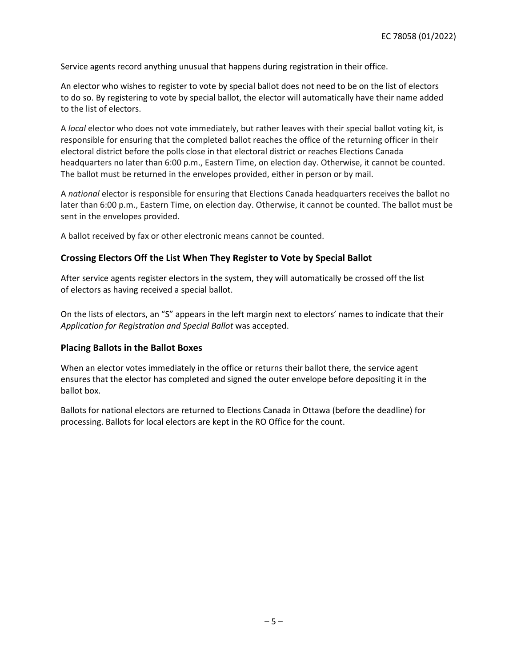Service agents record anything unusual that happens during registration in their office.

An elector who wishes to register to vote by special ballot does not need to be on the list of electors to do so. By registering to vote by special ballot, the elector will automatically have their name added to the list of electors.

A *local* elector who does not vote immediately, but rather leaves with their special ballot voting kit, is responsible for ensuring that the completed ballot reaches the office of the returning officer in their electoral district before the polls close in that electoral district or reaches Elections Canada headquarters no later than 6:00 p.m., Eastern Time, on election day. Otherwise, it cannot be counted. The ballot must be returned in the envelopes provided, either in person or by mail.

A *national* elector is responsible for ensuring that Elections Canada headquarters receives the ballot no later than 6:00 p.m., Eastern Time, on election day. Otherwise, it cannot be counted. The ballot must be sent in the envelopes provided.

A ballot received by fax or other electronic means cannot be counted.

### **Crossing Electors Off the List When They Register to Vote by Special Ballot**

After service agents register electors in the system, they will automatically be crossed off the list of electors as having received a special ballot.

On the lists of electors, an "S" appears in the left margin next to electors' names to indicate that their *Application for Registration and Special Ballot* was accepted.

### **Placing Ballots in the Ballot Boxes**

When an elector votes immediately in the office or returns their ballot there, the service agent ensures that the elector has completed and signed the outer envelope before depositing it in the ballot box.

Ballots for national electors are returned to Elections Canada in Ottawa (before the deadline) for processing. Ballots for local electors are kept in the RO Office for the count.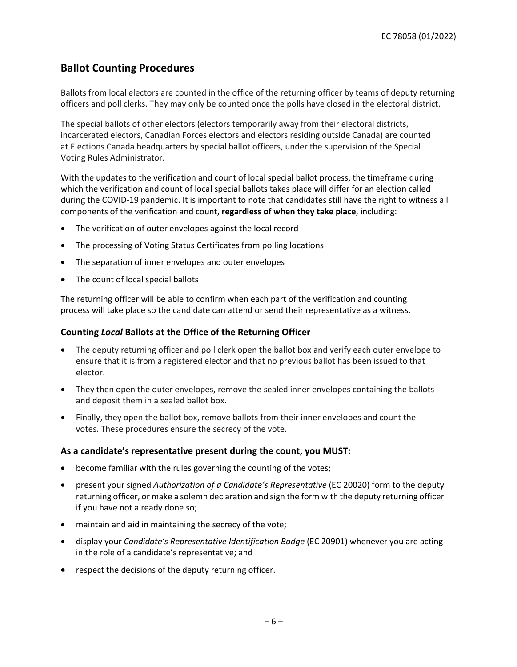# **Ballot Counting Procedures**

Ballots from local electors are counted in the office of the returning officer by teams of deputy returning officers and poll clerks. They may only be counted once the polls have closed in the electoral district.

The special ballots of other electors (electors temporarily away from their electoral districts, incarcerated electors, Canadian Forces electors and electors residing outside Canada) are counted at Elections Canada headquarters by special ballot officers, under the supervision of the Special Voting Rules Administrator.

With the updates to the verification and count of local special ballot process, the timeframe during which the verification and count of local special ballots takes place will differ for an election called during the COVID-19 pandemic. It is important to note that candidates still have the right to witness all components of the verification and count, **regardless of when they take place**, including:

- The verification of outer envelopes against the local record
- The processing of Voting Status Certificates from polling locations
- The separation of inner envelopes and outer envelopes
- The count of local special ballots

The returning officer will be able to confirm when each part of the verification and counting process will take place so the candidate can attend or send their representative as a witness.

## **Counting** *Local* **Ballots at the Office of the Returning Officer**

- The deputy returning officer and poll clerk open the ballot box and verify each outer envelope to ensure that it is from a registered elector and that no previous ballot has been issued to that elector.
- They then open the outer envelopes, remove the sealed inner envelopes containing the ballots and deposit them in a sealed ballot box.
- Finally, they open the ballot box, remove ballots from their inner envelopes and count the votes. These procedures ensure the secrecy of the vote.

### **As a candidate's representative present during the count, you MUST:**

- become familiar with the rules governing the counting of the votes;
- present your signed *Authorization of a Candidate's Representative* (EC 20020) form to the deputy returning officer, or make a solemn declaration and sign the form with the deputy returning officer if you have not already done so;
- maintain and aid in maintaining the secrecy of the vote;
- display your *Candidate's Representative Identification Badge* (EC 20901) whenever you are acting in the role of a candidate's representative; and
- respect the decisions of the deputy returning officer.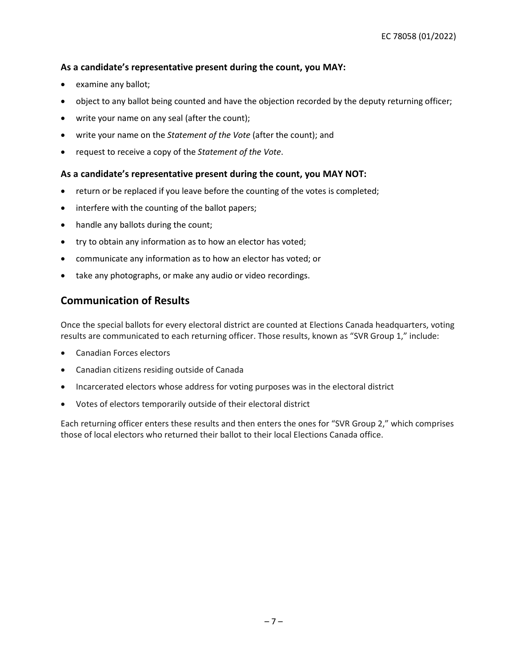## **As a candidate's representative present during the count, you MAY:**

- examine any ballot;
- object to any ballot being counted and have the objection recorded by the deputy returning officer;
- write your name on any seal (after the count);
- write your name on the *Statement of the Vote* (after the count); and
- request to receive a copy of the *Statement of the Vote*.

## **As a candidate's representative present during the count, you MAY NOT:**

- return or be replaced if you leave before the counting of the votes is completed;
- interfere with the counting of the ballot papers;
- handle any ballots during the count;
- try to obtain any information as to how an elector has voted;
- communicate any information as to how an elector has voted; or
- take any photographs, or make any audio or video recordings.

## **Communication of Results**

Once the special ballots for every electoral district are counted at Elections Canada headquarters, voting results are communicated to each returning officer. Those results, known as "SVR Group 1," include:

- Canadian Forces electors
- Canadian citizens residing outside of Canada
- Incarcerated electors whose address for voting purposes was in the electoral district
- Votes of electors temporarily outside of their electoral district

Each returning officer enters these results and then enters the ones for "SVR Group 2," which comprises those of local electors who returned their ballot to their local Elections Canada office.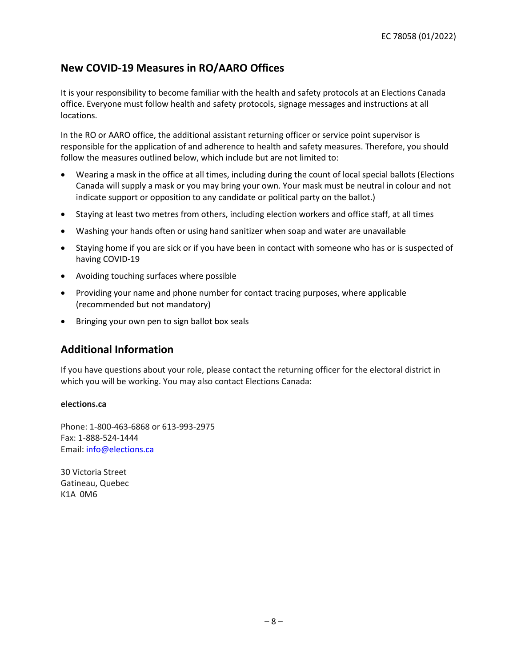# **New COVID-19 Measures in RO/AARO Offices**

It is your responsibility to become familiar with the health and safety protocols at an Elections Canada office. Everyone must follow health and safety protocols, signage messages and instructions at all locations.

In the RO or AARO office, the additional assistant returning officer or service point supervisor is responsible for the application of and adherence to health and safety measures. Therefore, you should follow the measures outlined below, which include but are not limited to:

- Wearing a mask in the office at all times, including during the count of local special ballots (Elections Canada will supply a mask or you may bring your own. Your mask must be neutral in colour and not indicate support or opposition to any candidate or political party on the ballot.)
- Staying at least two metres from others, including election workers and office staff, at all times
- Washing your hands often or using hand sanitizer when soap and water are unavailable
- Staying home if you are sick or if you have been in contact with someone who has or is suspected of having COVID-19
- Avoiding touching surfaces where possible
- Providing your name and phone number for contact tracing purposes, where applicable (recommended but not mandatory)
- Bringing your own pen to sign ballot box seals

# **Additional Information**

If you have questions about your role, please contact the returning officer for the electoral district in which you will be working. You may also contact Elections Canada:

### **elections.ca**

Phone: 1-800-463-6868 or 613-993-2975 Fax: 1-888-524-1444 Email: [info@elections.ca](mailto:info@elections.ca) 

30 Victoria Street Gatineau, Quebec K1A 0M6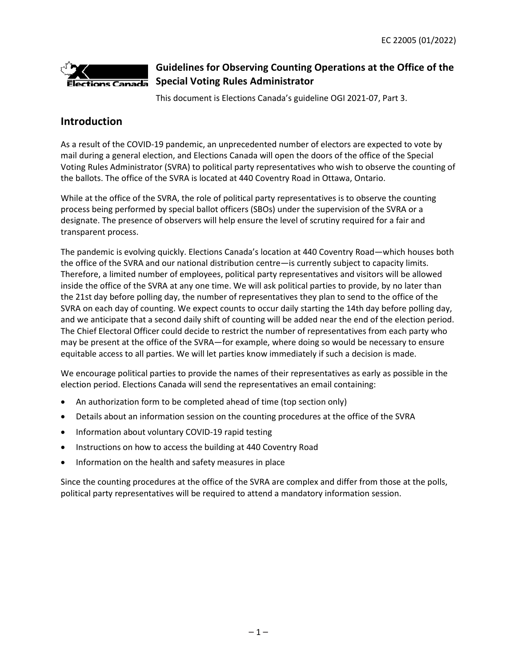

# **Guidelines for Observing Counting Operations at the Office of the Special Voting Rules Administrator**

This document is Elections Canada's guideline OGI 2021-07, Part 3.

# **Introduction**

As a result of the COVID-19 pandemic, an unprecedented number of electors are expected to vote by mail during a general election, and Elections Canada will open the doors of the office of the Special Voting Rules Administrator (SVRA) to political party representatives who wish to observe the counting of the ballots. The office of the SVRA is located at 440 Coventry Road in Ottawa, Ontario.

While at the office of the SVRA, the role of political party representatives is to observe the counting process being performed by special ballot officers (SBOs) under the supervision of the SVRA or a designate. The presence of observers will help ensure the level of scrutiny required for a fair and transparent process.

The pandemic is evolving quickly. Elections Canada's location at 440 Coventry Road—which houses both the office of the SVRA and our national distribution centre—is currently subject to capacity limits. Therefore, a limited number of employees, political party representatives and visitors will be allowed inside the office of the SVRA at any one time. We will ask political parties to provide, by no later than the 21st day before polling day, the number of representatives they plan to send to the office of the SVRA on each day of counting. We expect counts to occur daily starting the 14th day before polling day, and we anticipate that a second daily shift of counting will be added near the end of the election period. The Chief Electoral Officer could decide to restrict the number of representatives from each party who may be present at the office of the SVRA—for example, where doing so would be necessary to ensure equitable access to all parties. We will let parties know immediately if such a decision is made.

We encourage political parties to provide the names of their representatives as early as possible in the election period. Elections Canada will send the representatives an email containing:

- An authorization form to be completed ahead of time (top section only)
- Details about an information session on the counting procedures at the office of the SVRA
- Information about voluntary COVID-19 rapid testing
- Instructions on how to access the building at 440 Coventry Road
- Information on the health and safety measures in place

Since the counting procedures at the office of the SVRA are complex and differ from those at the polls, political party representatives will be required to attend a mandatory information session.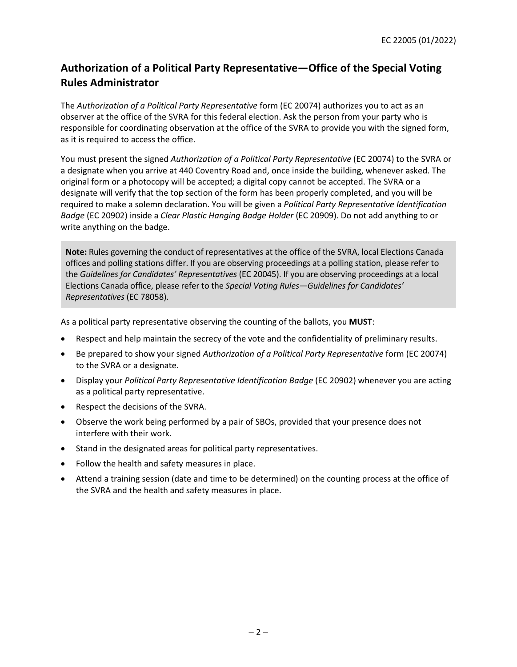# **Authorization of a Political Party Representative—Office of the Special Voting Rules Administrator**

The *Authorization of a Political Party Representative* form (EC 20074) authorizes you to act as an observer at the office of the SVRA for this federal election. Ask the person from your party who is responsible for coordinating observation at the office of the SVRA to provide you with the signed form, as it is required to access the office.

You must present the signed *Authorization of a Political Party Representative* (EC 20074) to the SVRA or a designate when you arrive at 440 Coventry Road and, once inside the building, whenever asked. The original form or a photocopy will be accepted; a digital copy cannot be accepted. The SVRA or a designate will verify that the top section of the form has been properly completed, and you will be required to make a solemn declaration. You will be given a *Political Party Representative Identification Badge* (EC 20902) inside a *Clear Plastic Hanging Badge Holder* (EC 20909). Do not add anything to or write anything on the badge.

**Note:** Rules governing the conduct of representatives at the office of the SVRA, local Elections Canada offices and polling stations differ. If you are observing proceedings at a polling station, please refer to the *Guidelines for Candidates' Representatives* (EC 20045). If you are observing proceedings at a local Elections Canada office, please refer to the *Special Voting Rules—Guidelines for Candidates' Representatives* (EC 78058).

As a political party representative observing the counting of the ballots, you **MUST**:

- Respect and help maintain the secrecy of the vote and the confidentiality of preliminary results.
- Be prepared to show your signed *Authorization of a Political Party Representative* form (EC 20074) to the SVRA or a designate.
- Display your *Political Party Representative Identification Badge* (EC 20902) whenever you are acting as a political party representative.
- Respect the decisions of the SVRA.
- Observe the work being performed by a pair of SBOs, provided that your presence does not interfere with their work.
- Stand in the designated areas for political party representatives.
- Follow the health and safety measures in place.
- Attend a training session (date and time to be determined) on the counting process at the office of the SVRA and the health and safety measures in place.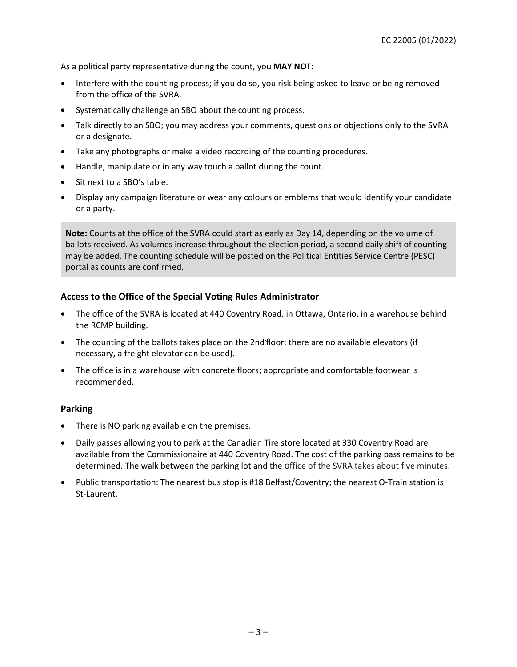As a political party representative during the count, you **MAY NOT**:

- Interfere with the counting process; if you do so, you risk being asked to leave or being removed from the office of the SVRA.
- Systematically challenge an SBO about the counting process.
- Talk directly to an SBO; you may address your comments, questions or objections only to the SVRA or a designate.
- Take any photographs or make a video recording of the counting procedures.
- Handle, manipulate or in any way touch a ballot during the count.
- Sit next to a SBO's table.
- Display any campaign literature or wear any colours or emblems that would identify your candidate or a party.

**Note:** Counts at the office of the SVRA could start as early as Day 14, depending on the volume of ballots received. As volumes increase throughout the election period, a second daily shift of counting may be added. The counting schedule will be posted on the Political Entities Service Centre (PESC) portal as counts are confirmed.

## **Access to the Office of the Special Voting Rules Administrator**

- The office of the SVRA is located at 440 Coventry Road, in Ottawa, Ontario, in a warehouse behind the RCMP building.
- The counting of the ballots takes place on the 2nd floor; there are no available elevators (if necessary, a freight elevator can be used).
- The office is in a warehouse with concrete floors; appropriate and comfortable footwear is recommended.

## **Parking**

- There is NO parking available on the premises.
- Daily passes allowing you to park at the Canadian Tire store located at 330 Coventry Road are available from the Commissionaire at 440 Coventry Road. The cost of the parking pass remains to be determined. The walk between the parking lot and the office of the SVRA takes about five minutes.
- Public transportation: The nearest bus stop is #18 Belfast/Coventry; the nearest O-Train station is St-Laurent.